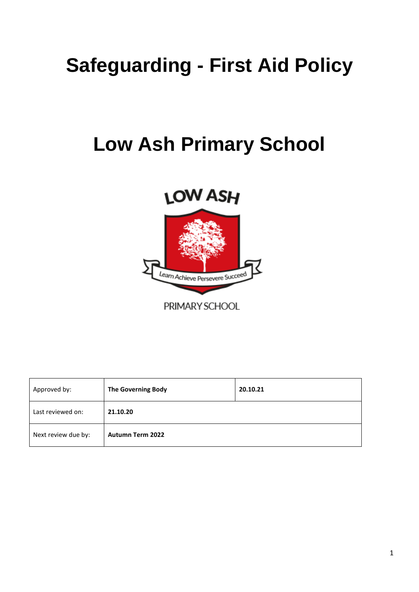# **Safeguarding - First Aid Policy**

# **Low Ash Primary School**

# **LOW ASH**



PRIMARY SCHOOL

| Approved by:        | The Governing Body      | 20.10.21 |
|---------------------|-------------------------|----------|
| Last reviewed on:   | 21.10.20                |          |
| Next review due by: | <b>Autumn Term 2022</b> |          |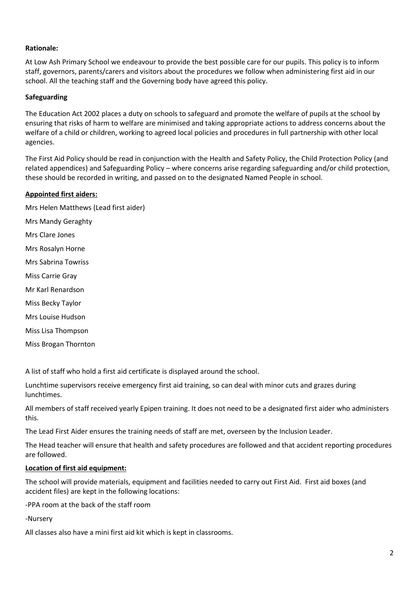#### **Rationale:**

At Low Ash Primary School we endeavour to provide the best possible care for our pupils. This policy is to inform staff, governors, parents/carers and visitors about the procedures we follow when administering first aid in our school. All the teaching staff and the Governing body have agreed this policy.

### **Safeguarding**

The Education Act 2002 places a duty on schools to safeguard and promote the welfare of pupils at the school by ensuring that risks of harm to welfare are minimised and taking appropriate actions to address concerns about the welfare of a child or children, working to agreed local policies and procedures in full partnership with other local agencies.

The First Aid Policy should be read in conjunction with the Health and Safety Policy, the Child Protection Policy (and related appendices) and Safeguarding Policy – where concerns arise regarding safeguarding and/or child protection, these should be recorded in writing, and passed on to the designated Named People in school.

#### **Appointed first aiders:**

Mrs Helen Matthews (Lead first aider) Mrs Mandy Geraghty Mrs Clare Jones Mrs Rosalyn Horne Mrs Sabrina Towriss Miss Carrie Gray Mr Karl Renardson Miss Becky Taylor Mrs Louise Hudson Miss Lisa Thompson Miss Brogan Thornton

A list of staff who hold a first aid certificate is displayed around the school.

Lunchtime supervisors receive emergency first aid training, so can deal with minor cuts and grazes during lunchtimes.

All members of staff received yearly Epipen training. It does not need to be a designated first aider who administers this.

The Lead First Aider ensures the training needs of staff are met, overseen by the Inclusion Leader.

The Head teacher will ensure that health and safety procedures are followed and that accident reporting procedures are followed.

#### **Location of first aid equipment:**

The school will provide materials, equipment and facilities needed to carry out First Aid. First aid boxes (and accident files) are kept in the following locations:

-PPA room at the back of the staff room

-Nursery

All classes also have a mini first aid kit which is kept in classrooms.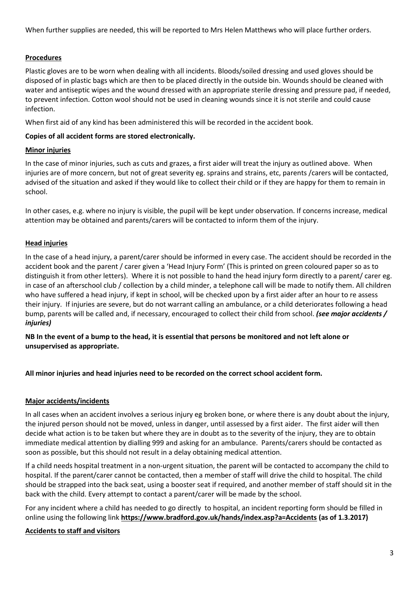When further supplies are needed, this will be reported to Mrs Helen Matthews who will place further orders.

# **Procedures**

Plastic gloves are to be worn when dealing with all incidents. Bloods/soiled dressing and used gloves should be disposed of in plastic bags which are then to be placed directly in the outside bin. Wounds should be cleaned with water and antiseptic wipes and the wound dressed with an appropriate sterile dressing and pressure pad, if needed, to prevent infection. Cotton wool should not be used in cleaning wounds since it is not sterile and could cause infection.

When first aid of any kind has been administered this will be recorded in the accident book.

#### **Copies of all accident forms are stored electronically.**

#### **Minor injuries**

In the case of minor injuries, such as cuts and grazes, a first aider will treat the injury as outlined above. When injuries are of more concern, but not of great severity eg. sprains and strains, etc, parents /carers will be contacted, advised of the situation and asked if they would like to collect their child or if they are happy for them to remain in school.

In other cases, e.g. where no injury is visible, the pupil will be kept under observation. If concerns increase, medical attention may be obtained and parents/carers will be contacted to inform them of the injury.

#### **Head injuries**

In the case of a head injury, a parent/carer should be informed in every case. The accident should be recorded in the accident book and the parent / carer given a 'Head Injury Form' (This is printed on green coloured paper so as to distinguish it from other letters). Where it is not possible to hand the head injury form directly to a parent/ carer eg. in case of an afterschool club / collection by a child minder, a telephone call will be made to notify them. All children who have suffered a head injury, if kept in school, will be checked upon by a first aider after an hour to re assess their injury. If injuries are severe, but do not warrant calling an ambulance, or a child deteriorates following a head bump, parents will be called and, if necessary, encouraged to collect their child from school. *(see major accidents / injuries)*

**NB In the event of a bump to the head, it is essential that persons be monitored and not left alone or unsupervised as appropriate.**

**All minor injuries and head injuries need to be recorded on the correct school accident form.**

#### **Major accidents/incidents**

In all cases when an accident involves a serious injury eg broken bone, or where there is any doubt about the injury, the injured person should not be moved, unless in danger, until assessed by a first aider. The first aider will then decide what action is to be taken but where they are in doubt as to the severity of the injury, they are to obtain immediate medical attention by dialling 999 and asking for an ambulance. Parents/carers should be contacted as soon as possible, but this should not result in a delay obtaining medical attention.

If a child needs hospital treatment in a non-urgent situation, the parent will be contacted to accompany the child to hospital. If the parent/carer cannot be contacted, then a member of staff will drive the child to hospital. The child should be strapped into the back seat, using a booster seat if required, and another member of staff should sit in the back with the child. Every attempt to contact a parent/carer will be made by the school.

For any incident where a child has needed to go directly to hospital, an incident reporting form should be filled in online using the following link **<https://www.bradford.gov.uk/hands/index.asp?a=Accidents> (as of 1.3.2017)**

#### **Accidents to staff and visitors**